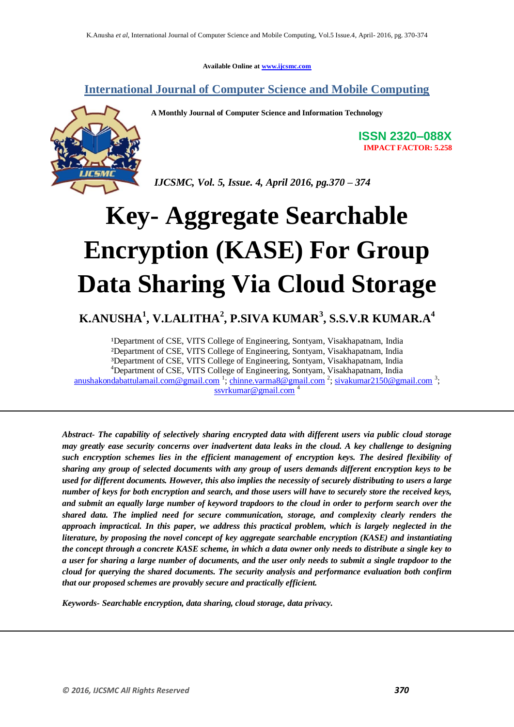**Available Online at www.ijcsmc.com**

**International Journal of Computer Science and Mobile Computing**



**A Monthly Journal of Computer Science and Information Technology**

**ISSN 2320–088X IMPACT FACTOR: 5.258**

 *IJCSMC, Vol. 5, Issue. 4, April 2016, pg.370 – 374*

# **Key- Aggregate Searchable Encryption (KASE) For Group Data Sharing Via Cloud Storage**

# **K.ANUSHA<sup>1</sup> , V.LALITHA<sup>2</sup> , P.SIVA KUMAR<sup>3</sup> , S.S.V.R KUMAR.A<sup>4</sup>**

<sup>1</sup>Department of CSE, VITS College of Engineering, Sontyam, Visakhapatnam, India ²Department of CSE, VITS College of Engineering, Sontyam, Visakhapatnam, India ³Department of CSE, VITS College of Engineering, Sontyam, Visakhapatnam, India <sup>4</sup>Department of CSE, VITS College of Engineering, Sontyam, Visakhapatnam, India anushakondabattulamail.com@gmail.com <sup>1</sup>; chinne.varma8@gmail.com <sup>2</sup>; sivakumar2150@gmail.com <sup>3</sup>; ssvrkumar@gmail.com<sup>4</sup>

*Abstract- The capability of selectively sharing encrypted data with different users via public cloud storage may greatly ease security concerns over inadvertent data leaks in the cloud. A key challenge to designing such encryption schemes lies in the efficient management of encryption keys. The desired flexibility of sharing any group of selected documents with any group of users demands different encryption keys to be used for different documents. However, this also implies the necessity of securely distributing to users a large number of keys for both encryption and search, and those users will have to securely store the received keys, and submit an equally large number of keyword trapdoors to the cloud in order to perform search over the shared data. The implied need for secure communication, storage, and complexity clearly renders the approach impractical. In this paper, we address this practical problem, which is largely neglected in the literature, by proposing the novel concept of key aggregate searchable encryption (KASE) and instantiating the concept through a concrete KASE scheme, in which a data owner only needs to distribute a single key to a user for sharing a large number of documents, and the user only needs to submit a single trapdoor to the cloud for querying the shared documents. The security analysis and performance evaluation both confirm that our proposed schemes are provably secure and practically efficient.*

*Keywords- Searchable encryption, data sharing, cloud storage, data privacy.*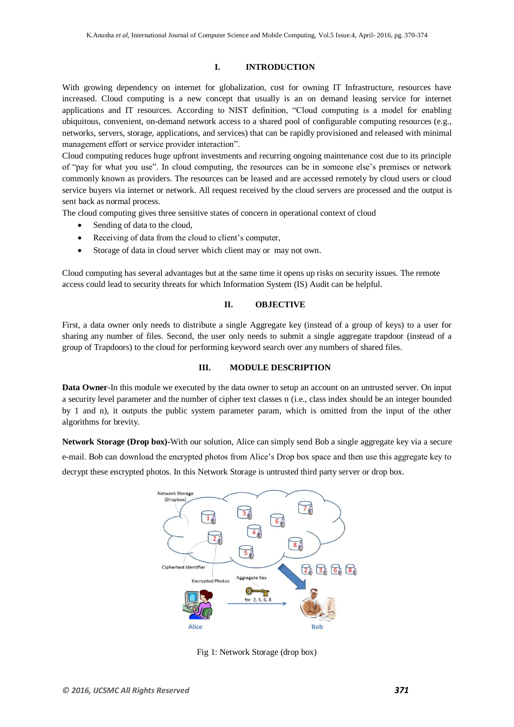### **I. INTRODUCTION**

With growing dependency on internet for globalization, cost for owning IT Infrastructure, resources have increased. Cloud computing is a new concept that usually is an on demand leasing service for internet applications and IT resources. According to NIST definition, "Cloud computing is a model for enabling ubiquitous, convenient, on-demand network access to a shared pool of configurable computing resources (e.g., networks, servers, storage, applications, and services) that can be rapidly provisioned and released with minimal management effort or service provider interaction".

Cloud computing reduces huge upfront investments and recurring ongoing maintenance cost due to its principle of "pay for what you use". In cloud computing, the resources can be in someone else's premises or network commonly known as providers. The resources can be leased and are accessed remotely by cloud users or cloud service buyers via internet or network. All request received by the cloud servers are processed and the output is sent back as normal process.

The cloud computing gives three sensitive states of concern in operational context of cloud

- Sending of data to the cloud,
- Receiving of data from the cloud to client's computer,
- Storage of data in cloud server which client may or may not own.

Cloud computing has several advantages but at the same time it opens up risks on security issues. The remote access could lead to security threats for which Information System (IS) Audit can be helpful.

# **II. OBJECTIVE**

First, a data owner only needs to distribute a single Aggregate key (instead of a group of keys) to a user for sharing any number of files. Second, the user only needs to submit a single aggregate trapdoor (instead of a group of Trapdoors) to the cloud for performing keyword search over any numbers of shared files.

### **III. MODULE DESCRIPTION**

**Data Owner**-In this module we executed by the data owner to setup an account on an untrusted server. On input a security level parameter and the number of cipher text classes n (i.e., class index should be an integer bounded by 1 and n), it outputs the public system parameter param, which is omitted from the input of the other algorithms for brevity.

**Network Storage (Drop box)-**With our solution, Alice can simply send Bob a single aggregate key via a secure e-mail. Bob can download the encrypted photos from Alice's Drop box space and then use this aggregate key to decrypt these encrypted photos. In this Network Storage is untrusted third party server or drop box.



Fig 1: Network Storage (drop box)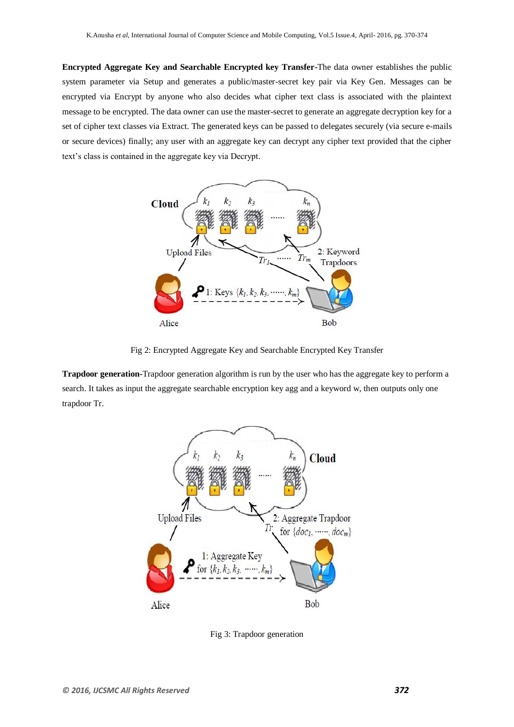**Encrypted Aggregate Key and Searchable Encrypted key Transfer-**The data owner establishes the public system parameter via Setup and generates a public/master-secret key pair via Key Gen. Messages can be encrypted via Encrypt by anyone who also decides what cipher text class is associated with the plaintext message to be encrypted. The data owner can use the master-secret to generate an aggregate decryption key for a set of cipher text classes via Extract. The generated keys can be passed to delegates securely (via secure e-mails or secure devices) finally; any user with an aggregate key can decrypt any cipher text provided that the cipher text's class is contained in the aggregate key via Decrypt.



Fig 2: Encrypted Aggregate Key and Searchable Encrypted Key Transfer

**Trapdoor generation-**Trapdoor generation algorithm is run by the user who has the aggregate key to perform a search. It takes as input the aggregate searchable encryption key agg and a keyword w, then outputs only one trapdoor Tr.



Fig 3: Trapdoor generation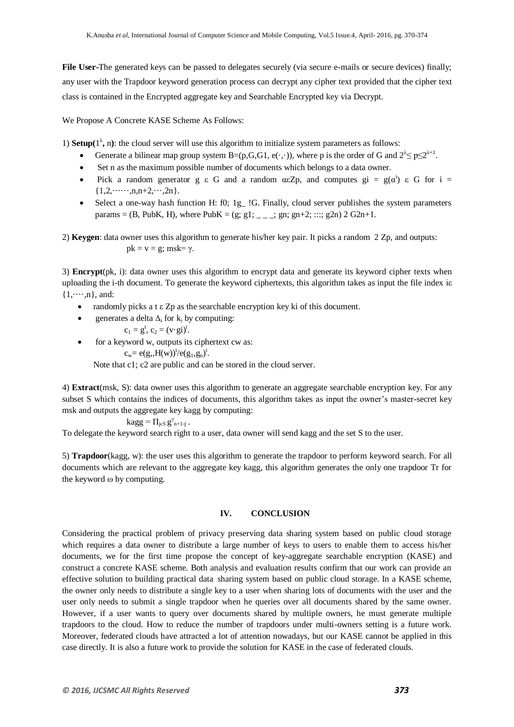**File User-**The generated keys can be passed to delegates securely (via secure e-mails or secure devices) finally; any user with the Trapdoor keyword generation process can decrypt any cipher text provided that the cipher text class is contained in the Encrypted aggregate key and Searchable Encrypted key via Decrypt.

We Propose A Concrete KASE Scheme As Follows:

1) **Setup**( $1^{\lambda}$ , n): the cloud server will use this algorithm to initialize system parameters as follows:

- Generate a bilinear map group system B=(p,G,G1, e(.,.)), where p is the order of G and  $2^{\lambda} \le p \le 2^{\lambda+1}$ .
- Set n as the maximum possible number of documents which belongs to a data owner.
- Pick a random generator g  $\varepsilon$  G and a random  $\alpha \varepsilon \mathbb{Z}_p$ , and computes  $\text{gi} = \text{g}(\alpha^i) \varepsilon$  G for i =  $\{1,2,\cdots,n,n+2,\cdots,2n\}.$
- Select a one-way hash function H: f0; 1g\_ !G. Finally, cloud server publishes the system parameters params = (B, PubK, H), where PubK = (g; g1; \_ \_ \_; gn; gn+2; :::; g2n) 2 G2n+1.

2) **Keygen**: data owner uses this algorithm to generate his/her key pair. It picks a random 2 Zp, and outputs:  $pk = v = g$ ; msk= γ.

3) **Encrypt**(pk, i): data owner uses this algorithm to encrypt data and generate its keyword cipher texts when uploading the i-th document. To generate the keyword ciphertexts, this algorithm takes as input the file index iε  $\{1,\cdots,n\}$ , and:

- randomly picks a t ε Zp as the searchable encryption key ki of this document.
	- generates a delta  $\Delta_i$  for k<sub>i</sub> by computing:

$$
c_1 = g^t, c_2 = (v \cdot gi)^t.
$$

• for a keyword w, outputs its ciphertext cw as:

 $c_w = e(g, H(w))^{t}/e(g_1, g_n)^{t}.$ 

Note that c1; c2 are public and can be stored in the cloud server.

4) **Extract**(msk, S): data owner uses this algorithm to generate an aggregate searchable encryption key. For any subset S which contains the indices of documents, this algorithm takes as input the owner's master-secret key msk and outputs the aggregate key kagg by computing:

$$
kagg = \Pi_{j\in S} g^{\gamma}_{n+1-j} .
$$

To delegate the keyword search right to a user, data owner will send kagg and the set S to the user.

5) **Trapdoor**(kagg, w): the user uses this algorithm to generate the trapdoor to perform keyword search. For all documents which are relevant to the aggregate key kagg, this algorithm generates the only one trapdoor Tr for the keyword ω by computing.

### **IV. CONCLUSION**

Considering the practical problem of privacy preserving data sharing system based on public cloud storage which requires a data owner to distribute a large number of keys to users to enable them to access his/her documents, we for the first time propose the concept of key-aggregate searchable encryption (KASE) and construct a concrete KASE scheme. Both analysis and evaluation results confirm that our work can provide an effective solution to building practical data sharing system based on public cloud storage. In a KASE scheme, the owner only needs to distribute a single key to a user when sharing lots of documents with the user and the user only needs to submit a single trapdoor when he queries over all documents shared by the same owner. However, if a user wants to query over documents shared by multiple owners, he must generate multiple trapdoors to the cloud. How to reduce the number of trapdoors under multi-owners setting is a future work. Moreover, federated clouds have attracted a lot of attention nowadays, but our KASE cannot be applied in this case directly. It is also a future work to provide the solution for KASE in the case of federated clouds.